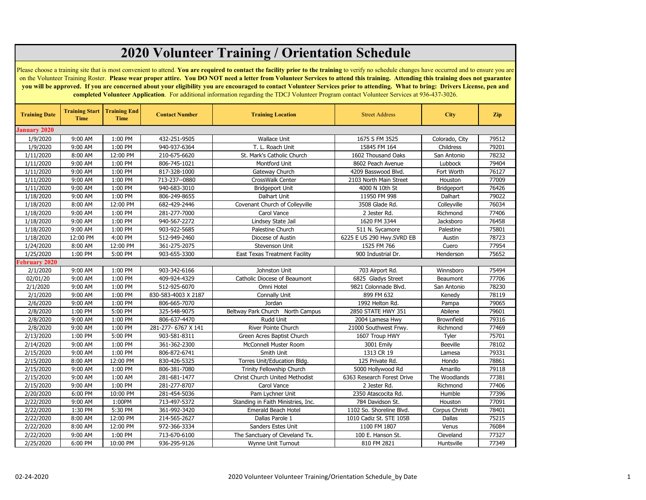| <b>2020 Volunteer Training / Orientation Schedule</b>                                                                                                                                                                                                                                                                                                                                                                                                                                                                                                                                                                                                                                                                    |                               |                                    |                              |                                      |                                         |                    |                |  |  |
|--------------------------------------------------------------------------------------------------------------------------------------------------------------------------------------------------------------------------------------------------------------------------------------------------------------------------------------------------------------------------------------------------------------------------------------------------------------------------------------------------------------------------------------------------------------------------------------------------------------------------------------------------------------------------------------------------------------------------|-------------------------------|------------------------------------|------------------------------|--------------------------------------|-----------------------------------------|--------------------|----------------|--|--|
| Please choose a training site that is most convenient to attend. You are required to contact the facility prior to the training to verify no schedule changes have occurred and to ensure you are<br>on the Volunteer Training Roster. Please wear proper attire. You DO NOT need a letter from Volunteer Services to attend this training. Attending this training does not guarantee<br>you will be approved. If you are concerned about your eligibility you are encouraged to contact Volunteer Services prior to attending. What to bring: Drivers License, pen and<br>completed Volunteer Application. For additional information regarding the TDCJ Volunteer Program contact Volunteer Services at 936-437-3026. |                               |                                    |                              |                                      |                                         |                    |                |  |  |
| <b>Training Date</b>                                                                                                                                                                                                                                                                                                                                                                                                                                                                                                                                                                                                                                                                                                     | <b>Training Start</b><br>Time | <b>Training End</b><br><b>Time</b> | <b>Contact Number</b>        | <b>Training Location</b>             | <b>Street Address</b>                   | <b>City</b>        | <b>Zip</b>     |  |  |
| <b>January 2020</b>                                                                                                                                                                                                                                                                                                                                                                                                                                                                                                                                                                                                                                                                                                      |                               |                                    |                              |                                      |                                         |                    |                |  |  |
| 1/9/2020                                                                                                                                                                                                                                                                                                                                                                                                                                                                                                                                                                                                                                                                                                                 | 9:00 AM                       | 1:00 PM                            | 432-251-9505                 | <b>Wallace Unit</b>                  | 1675 S FM 3525                          | Colorado, City     | 79512          |  |  |
| 1/9/2020                                                                                                                                                                                                                                                                                                                                                                                                                                                                                                                                                                                                                                                                                                                 | 9:00 AM                       | 1:00 PM                            | 940-937-6364                 | T. L. Roach Unit                     | 15845 FM 164                            | Childress          | 79201          |  |  |
| 1/11/2020                                                                                                                                                                                                                                                                                                                                                                                                                                                                                                                                                                                                                                                                                                                | 8:00 AM                       | 12:00 PM                           | 210-675-6620                 | St. Mark's Catholic Church           | 1602 Thousand Oaks                      | San Antonio        | 78232          |  |  |
| 1/11/2020                                                                                                                                                                                                                                                                                                                                                                                                                                                                                                                                                                                                                                                                                                                | 9:00 AM                       | 1:00 PM                            | 806-745-1021                 | Montford Unit                        | 8602 Peach Avenue                       | Lubbock            | 79404          |  |  |
| 1/11/2020                                                                                                                                                                                                                                                                                                                                                                                                                                                                                                                                                                                                                                                                                                                | 9:00 AM                       | 1:00 PM                            | 817-328-1000                 | Gateway Church                       | 4209 Basswood Blvd.                     | Fort Worth         | 76127          |  |  |
| 1/11/2020                                                                                                                                                                                                                                                                                                                                                                                                                                                                                                                                                                                                                                                                                                                | 9:00 AM                       | 1:00 PM                            | 713-237--0880                | CrossWalk Center                     | 2103 North Main Street                  | Houston            | 77009          |  |  |
| 1/11/2020                                                                                                                                                                                                                                                                                                                                                                                                                                                                                                                                                                                                                                                                                                                | 9:00 AM                       | 1:00 PM                            | 940-683-3010                 | <b>Bridgeport Unit</b>               | 4000 N 10th St                          | Bridgeport         | 76426          |  |  |
| 1/18/2020                                                                                                                                                                                                                                                                                                                                                                                                                                                                                                                                                                                                                                                                                                                | 9:00 AM                       | 1:00 PM                            | 806-249-8655                 | Dalhart Unit                         | 11950 FM 998                            | Dalhart            | 79022          |  |  |
| 1/18/2020                                                                                                                                                                                                                                                                                                                                                                                                                                                                                                                                                                                                                                                                                                                | 8:00 AM                       | 12:00 PM                           | 682-429-2446                 | Covenant Church of Colleyville       | 3508 Glade Rd.                          | Colleyville        | 76034          |  |  |
| 1/18/2020                                                                                                                                                                                                                                                                                                                                                                                                                                                                                                                                                                                                                                                                                                                | 9:00 AM                       | 1:00 PM                            | 281-277-7000                 | Carol Vance                          | 2 Jester Rd.                            | Richmond           | 77406          |  |  |
| 1/18/2020                                                                                                                                                                                                                                                                                                                                                                                                                                                                                                                                                                                                                                                                                                                | 9:00 AM                       | 1:00 PM                            | 940-567-2272                 | Lindsey State Jail                   | 1620 FM 3344                            | Jacksboro          | 76458          |  |  |
| 1/18/2020                                                                                                                                                                                                                                                                                                                                                                                                                                                                                                                                                                                                                                                                                                                | 9:00 AM                       | 1:00 PM                            | 903-922-5685                 | Palestine Church                     | 511 N. Sycamore                         | Palestine          | 75801          |  |  |
| 1/18/2020                                                                                                                                                                                                                                                                                                                                                                                                                                                                                                                                                                                                                                                                                                                | 12:00 PM                      | 4:00 PM                            | 512-949-2460                 | Diocese of Austin                    | 6225 E US 290 Hwy.SVRD EB               | Austin             | 78723          |  |  |
| 1/24/2020                                                                                                                                                                                                                                                                                                                                                                                                                                                                                                                                                                                                                                                                                                                | 8:00 AM                       | 12:00 PM                           | 361-275-2075                 | Stevenson Unit                       | 1525 FM 766                             | Cuero              | 77954          |  |  |
| 1/25/2020                                                                                                                                                                                                                                                                                                                                                                                                                                                                                                                                                                                                                                                                                                                | 1:00 PM                       | 5:00 PM                            | 903-655-3300                 | <b>East Texas Treatment Facility</b> | 900 Industrial Dr.                      | Henderson          | 75652          |  |  |
| <b>February 2020</b>                                                                                                                                                                                                                                                                                                                                                                                                                                                                                                                                                                                                                                                                                                     |                               |                                    |                              |                                      |                                         |                    |                |  |  |
| 2/1/2020                                                                                                                                                                                                                                                                                                                                                                                                                                                                                                                                                                                                                                                                                                                 | 9:00 AM                       | 1:00 PM                            | 903-342-6166                 | Johnston Unit                        | 703 Airport Rd.                         | Winnsboro          | 75494          |  |  |
| 02/01/20                                                                                                                                                                                                                                                                                                                                                                                                                                                                                                                                                                                                                                                                                                                 | 9:00 AM                       | 1:00 PM                            | 409-924-4329                 | Catholic Diocese of Beaumont         | 6825 Gladys Street                      | Beaumont           | 77706          |  |  |
| 2/1/2020                                                                                                                                                                                                                                                                                                                                                                                                                                                                                                                                                                                                                                                                                                                 | 9:00 AM                       | 1:00 PM                            | 512-925-6070                 | Omni Hotel                           | 9821 Colonnade Blvd.                    | San Antonio        | 78230          |  |  |
| 2/1/2020                                                                                                                                                                                                                                                                                                                                                                                                                                                                                                                                                                                                                                                                                                                 | 9:00 AM                       | 1:00 PM                            | 830-583-4003 X 2187          | <b>Connally Unit</b>                 | 899 FM 632                              | Kenedy             | 78119          |  |  |
| 2/6/2020                                                                                                                                                                                                                                                                                                                                                                                                                                                                                                                                                                                                                                                                                                                 | 9:00 AM                       | 1:00 PM                            | 806-665-7070                 | Jordan                               | 1992 Helton Rd.                         | Pampa              | 79065          |  |  |
| 2/8/2020                                                                                                                                                                                                                                                                                                                                                                                                                                                                                                                                                                                                                                                                                                                 | 1:00 PM                       | 5:00 PM                            | 325-548-9075                 | Beltway Park Church North Campus     | 2850 STATE HWY 351                      | Abilene            | 79601          |  |  |
| 2/8/2020                                                                                                                                                                                                                                                                                                                                                                                                                                                                                                                                                                                                                                                                                                                 | 9:00 AM                       | 1:00 PM                            | 806-637-4470                 | Rudd Unit                            | 2004 Lamesa Hwy                         | Brownfield         | 79316          |  |  |
| 2/8/2020                                                                                                                                                                                                                                                                                                                                                                                                                                                                                                                                                                                                                                                                                                                 | 9:00 AM                       | 1:00 PM                            | 281-277- 6767 X 141          | <b>River Pointe Church</b>           | 21000 Southwest Frwy.                   | Richmond           | 77469          |  |  |
| 2/13/2020                                                                                                                                                                                                                                                                                                                                                                                                                                                                                                                                                                                                                                                                                                                | 1:00 PM                       | 5:00 PM                            | 903-581-8311                 | Green Acres Baptist Church           | 1607 Troup HWY                          | Tyler              | 75701          |  |  |
| 2/14/2020                                                                                                                                                                                                                                                                                                                                                                                                                                                                                                                                                                                                                                                                                                                | 9:00 AM                       | 1:00 PM                            | 361-362-2300                 | McConnell Muster Room                | 3001 Emily                              | <b>Beeville</b>    | 78102          |  |  |
| 2/15/2020                                                                                                                                                                                                                                                                                                                                                                                                                                                                                                                                                                                                                                                                                                                | 9:00 AM                       | 1:00 PM                            | 806-872-6741                 | Smith Unit                           | 1313 CR 19                              | Lamesa             | 79331          |  |  |
| 2/15/2020                                                                                                                                                                                                                                                                                                                                                                                                                                                                                                                                                                                                                                                                                                                | 8:00 AM                       | 12:00 PM                           | 830-426-5325                 | Torres Unit/Education Bldg.          | 125 Private Rd.                         | Hondo              | 78861          |  |  |
| 2/15/2020                                                                                                                                                                                                                                                                                                                                                                                                                                                                                                                                                                                                                                                                                                                | 9:00 AM                       | 1:00 PM                            | 806-381-7080                 | Trinity Fellowship Church            | 5000 Hollywood Rd                       | Amarillo           | 79118          |  |  |
| 2/15/2020                                                                                                                                                                                                                                                                                                                                                                                                                                                                                                                                                                                                                                                                                                                | 9:00 AM                       | 1:00 AM                            | 281-681-1477                 | Christ Church United Methodist       | 6363 Research Forest Drive              | The Woodlands      | 77381          |  |  |
|                                                                                                                                                                                                                                                                                                                                                                                                                                                                                                                                                                                                                                                                                                                          |                               |                                    |                              |                                      |                                         |                    |                |  |  |
| 2/15/2020                                                                                                                                                                                                                                                                                                                                                                                                                                                                                                                                                                                                                                                                                                                | 9:00 AM<br>6:00 PM            | 1:00 PM<br>10:00 PM                | 281-277-8707<br>281-454-5036 | Carol Vance                          | 2 Jester Rd.                            | Richmond<br>Humble | 77406          |  |  |
| 2/20/2020                                                                                                                                                                                                                                                                                                                                                                                                                                                                                                                                                                                                                                                                                                                |                               | 1:00PM                             | 713-497-5372                 | Pam Lychner Unit                     | 2350 Atascocita Rd.<br>784 Davidson St. |                    | 77396<br>77091 |  |  |
| 2/22/2020                                                                                                                                                                                                                                                                                                                                                                                                                                                                                                                                                                                                                                                                                                                | 9:00 AM                       |                                    |                              | Standing in Faith Ministries, Inc.   |                                         | Houston            |                |  |  |
| 2/22/2020                                                                                                                                                                                                                                                                                                                                                                                                                                                                                                                                                                                                                                                                                                                | 1:30 PM                       | 5:30 PM                            | 361-992-3420                 | Emerald Beach Hotel                  | 1102 So. Shoreline Blvd.                | Corpus Christi     | 78401          |  |  |
| 2/22/2020                                                                                                                                                                                                                                                                                                                                                                                                                                                                                                                                                                                                                                                                                                                | 8:00 AM                       | 12:00 PM                           | 214-565-2627                 | Dallas Parole 1                      | 1010 Cadiz St. STE 105B                 | Dallas             | 75215          |  |  |
| 2/22/2020                                                                                                                                                                                                                                                                                                                                                                                                                                                                                                                                                                                                                                                                                                                | 8:00 AM                       | 12:00 PM                           | 972-366-3334                 | Sanders Estes Unit                   | 1100 FM 1807                            | Venus              | 76084          |  |  |
| 2/22/2020                                                                                                                                                                                                                                                                                                                                                                                                                                                                                                                                                                                                                                                                                                                | 9:00 AM                       | 1:00 PM                            | 713-670-6100                 | The Sanctuary of Cleveland Tx.       | 100 E. Hanson St.                       | Cleveland          | 77327          |  |  |
| 2/25/2020                                                                                                                                                                                                                                                                                                                                                                                                                                                                                                                                                                                                                                                                                                                | 6:00 PM                       | 10:00 PM                           | 936-295-9126                 | Wynne Unit Turnout                   | 810 FM 2821                             | Huntsville         | 77349          |  |  |

**February 2020**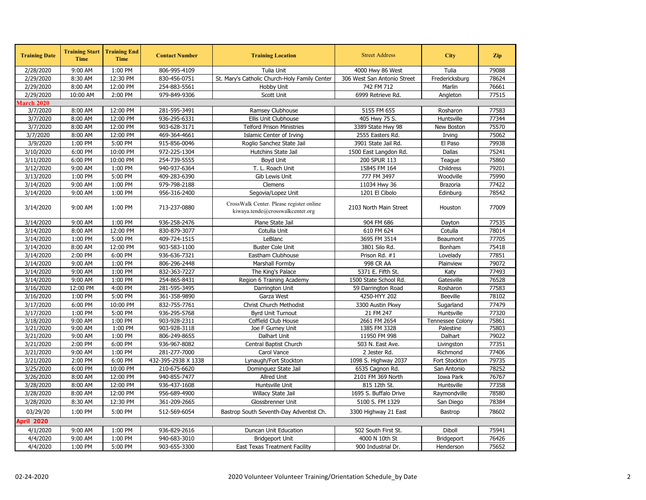| <b>Training Date</b> | <b>Training Start</b><br><b>Time</b> | <b>Training End</b><br><b>Time</b> | <b>Contact Number</b> | <b>Training Location</b>                                                     | <b>Street Address</b>       | <b>City</b>       | <b>Zip</b> |
|----------------------|--------------------------------------|------------------------------------|-----------------------|------------------------------------------------------------------------------|-----------------------------|-------------------|------------|
| 2/28/2020            | 9:00 AM                              | 1:00 PM                            | 806-995-4109          | Tulia Unit                                                                   | 4000 Hwy 86 West            | Tulia             | 79088      |
| 2/29/2020            | 8:30 AM                              | 12:30 PM                           | 830-456-0751          | St. Mary's Catholic Church-Holy Family Center                                | 306 West San Antonio Street | Fredericksburg    | 78624      |
| 2/29/2020            | 8:00 AM                              | 12:00 PM                           | 254-883-5561          | Hobby Unit                                                                   | 742 FM 712                  | Marlin            | 76661      |
| 2/29/2020            | 10:00 AM                             | 2:00 PM                            | 979-849-9306          | Scott Unit                                                                   | 6999 Retrieve Rd.           | Angleton          | 77515      |
| <b>March 2020</b>    |                                      |                                    |                       |                                                                              |                             |                   |            |
| 3/7/2020             | 8:00 AM                              | 12:00 PM                           | 281-595-3491          | Ramsey Clubhouse                                                             | 5155 FM 655                 | Rosharon          | 77583      |
| 3/7/2020             | 8:00 AM                              | 12:00 PM                           | 936-295-6331          | Ellis Unit Clubhouse                                                         | 405 Hwy 75 S.               | Huntsville        | 77344      |
| 3/7/2020             | 8:00 AM                              | 12:00 PM                           | 903-628-3171          | <b>Telford Prison Ministries</b>                                             | 3389 State Hwy 98           | New Boston        | 75570      |
| 3/7/2020             | 8:00 AM                              | 12:00 PM                           | 469-364-4661          | Islamic Center of Irving                                                     | 2555 Easters Rd.            | Irving            | 75062      |
| 3/9/2020             | 1:00 PM                              | 5:00 PM                            | 915-856-0046          | Roglio Sanchez State Jail                                                    | 3901 State Jail Rd.         | El Paso           | 79938      |
| 3/10/2020            | 6:00 PM                              | 10:00 PM                           | 972-225-1304          | Hutchins State Jail                                                          | 1500 East Langdon Rd.       | Dallas            | 75241      |
| 3/11/2020            | 6:00 PM                              | 10:00 PM                           | 254-739-5555          | Boyd Unit                                                                    | 200 SPUR 113                | Teague            | 75860      |
| 3/12/2020            | 9:00 AM                              | 1:00 PM                            | 940-937-6364          | T. L. Roach Unit                                                             | 15845 FM 164                | Childress         | 79201      |
| 3/13/2020            | 1:00 PM                              | 5:00 PM                            | 409-283-6390          | Gib Lewis Unit                                                               | 777 FM 3497                 | Woodville         | 75990      |
| 3/14/2020            | 9:00 AM                              | 1:00 PM                            | 979-798-2188          | Clemens                                                                      | 11034 Hwy 36                | Brazoria          | 77422      |
| 3/14/2020            | 9:00 AM                              | 1:00 PM                            | 956-316-2400          | Segovia/Lopez Unit                                                           | 1201 El Cibolo              | Edinburg          | 78542      |
| 3/14/2020            | 9:00 AM                              | 1:00 PM                            | 713-237-0880          | CrossWalk Center. Please register online<br>kiwaya.tende@crosswalkcenter.org | 2103 North Main Street      | Houston           | 77009      |
| 3/14/2020            | 9:00 AM                              | 1:00 PM                            | 936-258-2476          | Plane State Jail                                                             | 904 FM 686                  | Dayton            | 77535      |
| 3/14/2020            | 8:00 AM                              | 12:00 PM                           | 830-879-3077          | Cotulla Unit                                                                 | 610 FM 624                  | Cotulla           | 78014      |
| 3/14/2020            | 1:00 PM                              | 5:00 PM                            | 409-724-1515          | LeBlanc                                                                      | 3695 FM 3514                | Beaumont          | 77705      |
| 3/14/2020            | 8:00 AM                              | 12:00 PM                           | 903-583-1100          | <b>Buster Cole Unit</b>                                                      | 3801 Silo Rd.               | Bonham            | 75418      |
| 3/14/2020            | 2:00 PM                              | 6:00 PM                            | 936-636-7321          | Eastham Clubhouse                                                            | Prison Rd. #1               | Lovelady          | 77851      |
| 3/14/2020            | 9:00 AM                              | 1:00 PM                            | 806-296-2448          | Marshall Formby                                                              | 998 CR AA                   | Plainview         | 79072      |
| 3/14/2020            | 9:00 AM                              | 1:00 PM                            | 832-363-7227          | The King's Palace                                                            | 5371 E. Fifth St.           | Katy              | 77493      |
| 3/14/2020            | 9:00 AM                              | 1:00 PM                            | 254-865-8431          | Region 6 Training Academy                                                    | 1500 State School Rd.       | Gatesville        | 76528      |
| 3/16/2020            | 12:00 PM                             | 4:00 PM                            | 281-595-3495          | Darrington Unit                                                              | 59 Darrington Road          | Rosharon          | 77583      |
| 3/16/2020            | 1:00 PM                              | 5:00 PM                            | 361-358-9890          | Garza West                                                                   | 4250-HYY 202                | <b>Beeville</b>   | 78102      |
| 3/17/2020            | 6:00 PM                              | 10:00 PM                           | 832-755-7761          | Christ Church Methodist                                                      | 3300 Austin Pkwy            | Sugarland         | 77479      |
| 3/17/2020            | 1:00 PM                              | 5:00 PM                            | 936-295-5768          | <b>Byrd Unit Turnout</b>                                                     | 21 FM 247                   | Huntsville        | 77320      |
| 3/18/2020            | 9:00 AM                              | 1:00 PM                            | 903-928-2311          | Coffield Club House                                                          | 2661 FM 2654                | Tennessee Colony  | 75861      |
| 3/21/2020            | 9:00 AM                              | 1:00 PM                            | 903-928-3118          | Joe F Gurney Unit                                                            | 1385 FM 3328                | Palestine         | 75803      |
| 3/21/2020            | 9:00 AM                              | 1:00 PM                            | 806-249-8655          | Dalhart Unit                                                                 | 11950 FM 998                | Dalhart           | 79022      |
| 3/21/2020            | 2:00 PM                              | 6:00 PM                            | 936-967-8082          | Central Baptist Church                                                       | 503 N. East Ave.            | Livingston        | 77351      |
| 3/21/2020            | 9:00 AM                              | 1:00 PM                            | 281-277-7000          | Carol Vance                                                                  | 2 Jester Rd.                | Richmond          | 77406      |
| 3/21/2020            | 2:00 PM                              | 6:00 PM                            | 432-395-2938 X 1338   | Lynaugh/Fort Stockton                                                        | 1098 S. Highway 2037        | Fort Stockton     | 79735      |
| 3/25/2020            | 6:00 PM                              | 10:00 PM                           | 210-675-6620          | Dominguez State Jail                                                         | 6535 Cagnon Rd.             | San Antonio       | 78252      |
| 3/26/2020            | 8:00 AM                              | 12:00 PM                           | 940-855-7477          | Allred Unit                                                                  | 2101 FM 369 North           | Iowa Park         | 76767      |
| 3/28/2020            | 8:00 AM                              | 12:00 PM                           | 936-437-1608          | Huntsville Unit                                                              | 815 12th St.                | Huntsville        | 77358      |
| 3/28/2020            | 8:00 AM                              | 12:00 PM                           | 956-689-4900          | Willacy State Jail                                                           | 1695 S. Buffalo Drive       | Raymondville      | 78580      |
| 3/28/2020            | 8:30 AM                              | 12:30 PM                           | 361-209-2665          | Glossbrenner Unit                                                            | 5100 S. FM 1329             | San Diego         | 78384      |
| 03/29/20             | 1:00 PM                              | 5:00 PM                            | 512-569-6054          | Bastrop South Seventh-Day Adventist Ch.                                      | 3300 Highway 21 East        | Bastrop           | 78602      |
| <b>April 2020</b>    |                                      |                                    |                       |                                                                              |                             |                   |            |
| 4/1/2020             | 9:00 AM                              | 1:00 PM                            | 936-829-2616          | Duncan Unit Education                                                        | 502 South First St.         | Diboll            | 75941      |
| 4/4/2020             | 9:00 AM                              | 1:00 PM                            | 940-683-3010          | <b>Bridgeport Unit</b>                                                       | 4000 N 10th St              | <b>Bridgeport</b> | 76426      |
| 4/4/2020             | 1:00 PM                              | 5:00 PM                            | 903-655-3300          | East Texas Treatment Facility                                                | 900 Industrial Dr.          | Henderson         | 75652      |
|                      |                                      |                                    |                       |                                                                              |                             |                   |            |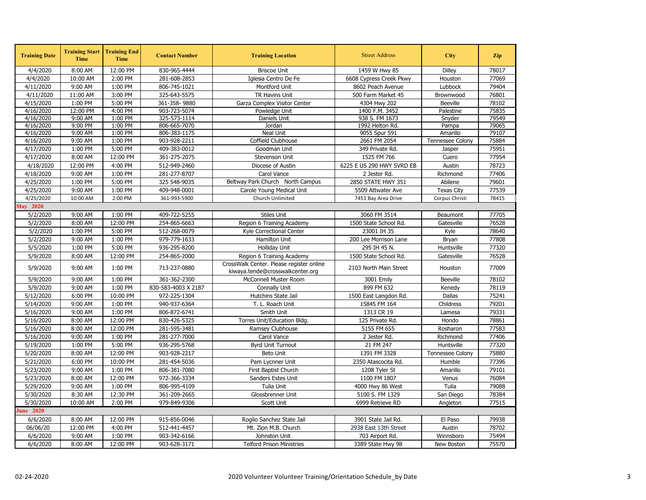| <b>Training Date</b> | <b>Training Start</b><br><b>Time</b> | <b>Training End</b><br><b>Time</b> | <b>Contact Number</b> | <b>Training Location</b>                                                     | <b>Street Address</b>     | <b>City</b>       | <b>Zip</b> |
|----------------------|--------------------------------------|------------------------------------|-----------------------|------------------------------------------------------------------------------|---------------------------|-------------------|------------|
| 4/4/2020             | 8:00 AM                              | 12:00 PM                           | 830-965-4444          | <b>Briscoe Unit</b>                                                          | 1459 W Hwy 85             | <b>Dilley</b>     | 78017      |
| 4/4/2020             | 10:00 AM                             | 2:00 PM                            | 281-608-2853          | Iglesia Centro De Fe                                                         | 6608 Cypress Creek Pkwy   | Houston           | 77069      |
| 4/11/2020            | 9:00 AM                              | 1:00 PM                            | 806-745-1021          | Montford Unit                                                                | 8602 Peach Avenue         | Lubbock           | 79404      |
| 4/11/2020            | 11:00 AM                             | 3:00 PM                            | 325-643-5575          | TR Havins Unit                                                               | 500 Farm Market 45        | Brownwood         | 76801      |
| 4/15/2020            | 1:00 PM                              | 5:00 PM                            | 361-358-9880          | Garza Complex Visitor Center                                                 | 4304 Hwy 202              | <b>Beeville</b>   | 78102      |
| 4/16/2020            | 12:00 PM                             | 4:00 PM                            | 903-723-5074          | Powledge Unit                                                                | 1400 F.M. 3452            | Palestine         | 75835      |
| 4/16/2020            | 9:00 AM                              | 1:00 PM                            | 325-573-1114          | Daniels Unit                                                                 | 938 S. FM 1673            | Snyder            | 79549      |
| 4/16/2020            | 9:00 PM                              | 1:00 PM                            | 806-665-7070          | Jordan                                                                       | 1992 Helton Rd.           | Pampa             | 79065      |
| 4/16/2020            | 9:00 AM                              | 1:00 PM                            | 806-383-1175          | Neal Unit                                                                    | 9055 Spur 591             | Amarillo          | 79107      |
| 4/16/2020            | 9:00 AM                              | 1:00 PM                            | 903-928-2211          | Coffield Clubhouse                                                           | 2661 FM 2054              | Tennessee Colony  | 75884      |
| 4/17/2020            | 1:00 PM                              | 5:00 PM                            | 409-383-0012          | Goodman Unit                                                                 | 349 Private Rd.           | Jasper            | 75951      |
| 4/17/2020            | 8:00 AM                              | 12:00 PM                           | 361-275-2075          | Stevenson Unit                                                               | 1525 FM 766               | Cuero             | 77954      |
| 4/18/2020            | 12:00 PM                             | 4:00 PM                            | 512-949-2460          | Diocese of Austin                                                            | 6225 E US 290 HWY SVRD EB | Austin            | 78723      |
| 4/18/2020            | 9:00 AM                              | 1:00 PM                            | 281-277-8707          | Carol Vance                                                                  | 2 Jester Rd.              | Richmond          | 77406      |
| 4/25/2020            | 1:00 PM                              | 5:00 PM                            | 325 548-9035          | Beltway Park Church North Campus                                             | 2850 STATE HWY 351        | Abilene           | 79601      |
| 4/25/2020            | 9:00 AM                              | 1:00 PM                            | 409-948-0001          | Carole Young Medical Unit                                                    | 5509 Attwater Ave         | <b>Texas City</b> | 77539      |
| 4/25/2020            | 10:00 AM                             | 2:00 PM                            | 361-993-5900          | Church Unlimited                                                             | 7451 Bay Area Drive       | Corpus Christi    | 78415      |
| <b>May 2020</b>      |                                      |                                    |                       |                                                                              |                           |                   |            |
| 5/2/2020             | 9:00 AM                              | 1:00 PM                            | 409-722-5255          | Stiles Unit                                                                  | 3060 FM 3514              | Beaumont          | 77705      |
| 5/2/2020             | 8:00 AM                              | 12:00 PM                           | 254-865-6663          | Region 6 Training Academy                                                    | 1500 State School Rd.     | Gatesville        | 76528      |
| 5/2/2020             | 1:00 PM                              | 5:00 PM                            | 512-268-0079          | Kyle Correctional Center                                                     | 23001 IH 35               | Kyle              | 78640      |
| 5/2/2020             | 9:00 AM                              | 1:00 PM                            | 979-779-1633          | Hamilton Unit                                                                | 200 Lee Morrison Lane     | Bryan             | 77808      |
| 5/5/2020             | 1:00 PM                              | 5:00 PM                            | 936-295-8200          | <b>Holliday Unit</b>                                                         | 295 IH 45 N.              | Huntsville        | 77320      |
| 5/9/2020             | 8:00 AM                              | 12:00 PM                           | 254-865-2000          | Region 6 Training Academy                                                    | 1500 State School Rd.     | Gatesville        | 76528      |
| 5/9/2020             | 9:00 AM                              | 1:00 PM                            | 713-237-0880          | CrossWalk Center. Please register online<br>kiwaya.tende@crosswalkcenter.org | 2103 North Main Street    | Houston           | 77009      |
| 5/9/2020             | 9:00 AM                              | 1:00 PM                            | 361-362-2300          | McConnell Muster Room                                                        | 3001 Emily                | <b>Beeville</b>   | 78102      |
| 5/9/2020             | 9:00 AM                              | 1:00 PM                            | 830-583-4003 X 2187   | Connally Unit                                                                | 899 FM 632                | Kenedy            | 78119      |
| 5/12/2020            | 6:00 PM                              | 10:00 PM                           | 972-225-1304          | Hutchins State Jail                                                          | 1500 East Langdon Rd.     | Dallas            | 75241      |
| 5/14/2020            | 9:00 AM                              | 1:00 PM                            | 940-937-6364          | T. L. Roach Unit                                                             | 15845 FM 164              | Childress         | 79201      |
| 5/16/2020            | 9:00 AM                              | 1:00 PM                            | 806-872-6741          | Smith Unit                                                                   | 1313 CR 19                | Lamesa            | 79331      |
| 5/16/2020            | 8:00 AM                              | 12:00 PM                           | 830-426-5325          | Torres Unit/Education Bldg.                                                  | 125 Private Rd.           | Hondo             | 78861      |
| 5/16/2020            | 8:00 AM                              | 12:00 PM                           | 281-595-3481          | Ramsey Clubhouse                                                             | 5155 FM 655               | Rosharon          | 77583      |
| 5/16/2020            | 9:00 AM                              | 1:00 PM                            | 281-277-7000          | Carol Vance                                                                  | 2 Jester Rd.              | Richmond          | 77406      |
| 5/19/2020            | 1:00 PM                              | 5:00 PM                            | 936-295-5768          | Byrd Unit Turnout                                                            | 21 FM 247                 | Huntsville        | 77320      |
| 5/20/2020            | 8:00 AM                              | 12:00 PM                           | 903-928-2217          | Beto Unit                                                                    | 1391 FM 3328              | Tennessee Colony  | 75880      |
| 5/21/2020            | 6:00 PM                              | 10:00 PM                           | 281-454-5036          | Pam Lycnner Unit                                                             | 2350 Atascocita Rd.       | Humble            | 77396      |
| 5/23/2020            | 9:00 AM                              | 1:00 PM                            | 806-381-7080          | First Baptist Church                                                         | 1208 Tyler St             | Amarillo          | 79101      |
| 5/23/2020            | 8:00 AM                              | 12:00 PM                           | 972-366-3334          | Sanders Estes Unit                                                           | 1100 FM 1807              | Venus             | 76084      |
| 5/29/2020            | 9:00 AM                              | 1:00 PM                            | 806-995-4109          | Tulia Unit                                                                   | 4000 Hwy 86 West          | Tulia             | 79088      |
| 5/30/2020            | 8:30 AM                              | 12:30 PM                           | 361-209-2665          | Glossbrenner Unit                                                            | 5100 S. FM 1329           | San Diego         | 78384      |
| 5/30/2020            | 10:00 AM                             | 2:00 PM                            | 979-849-9306          | Scott Unit                                                                   | 6999 Retrieve RD          | Angleton          | 77515      |
| <b>June 2020</b>     |                                      |                                    |                       |                                                                              |                           |                   |            |
| 6/6/2020             | 8:00 AM                              | 12:00 PM                           | 915-856-0046          | Roglio Sanchez State Jail                                                    | 3901 State Jail Rd.       | El Paso           | 79938      |
|                      |                                      |                                    |                       |                                                                              |                           |                   | 78702      |
| 06/06/20             | 12:00 PM                             | 4:00 PM                            | 512-441-4457          | Mt. Zion M.B. Church                                                         | 2938 East 13th Street     | Austin            |            |
| 6/6/2020             | 9:00 AM                              | 1:00 PM                            | 903-342-6166          | Johnston Unit                                                                | 703 Airport Rd.           | Winnsboro         | 75494      |
| 6/6/2020             | 8:00 AM                              | 12:00 PM                           | 903-628-3171          | <b>Telford Prison Ministries</b>                                             | 3389 State Hwy 98         | New Boston        | 75570      |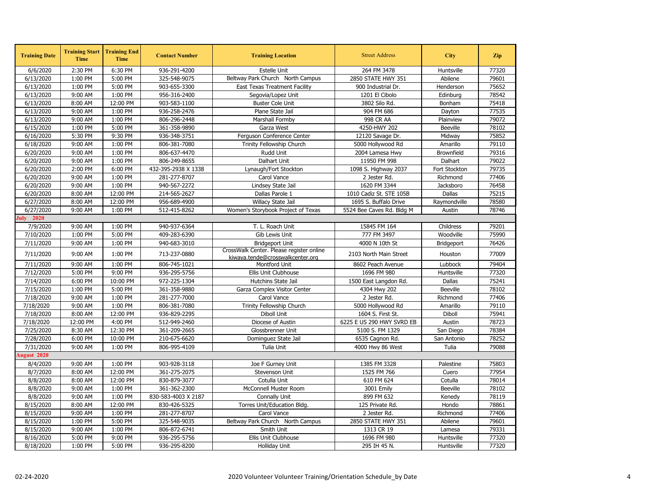| <b>Training Date</b> | <b>Training Start</b><br><b>Time</b> | <b>Training End</b><br><b>Time</b> | <b>Contact Number</b> | <b>Training Location</b>                                                     | <b>Street Address</b>     | <b>City</b>       | <b>Zip</b> |
|----------------------|--------------------------------------|------------------------------------|-----------------------|------------------------------------------------------------------------------|---------------------------|-------------------|------------|
| 6/6/2020             | 2:30 PM                              | 6:30 PM                            | 936-291-4200          | <b>Estelle Unit</b>                                                          | 264 FM 3478               | Huntsville        | 77320      |
| 6/13/2020            | 1:00 PM                              | 5:00 PM                            | 325-548-9075          | Beltway Park Church North Campus                                             | 2850 STATE HWY 351        | Abilene           | 79601      |
| 6/13/2020            | 1:00 PM                              | 5:00 PM                            | 903-655-3300          | <b>East Texas Treatment Facility</b>                                         | 900 Industrial Dr.        | Henderson         | 75652      |
| 6/13/2020            | 9:00 AM                              | 1:00 PM                            | 956-316-2400          | Segovia/Lopez Unit                                                           | 1201 El Cibolo            | Edinburg          | 78542      |
| 6/13/2020            | 8:00 AM                              | 12:00 PM                           | 903-583-1100          | <b>Buster Cole Unit</b>                                                      | 3802 Silo Rd.             | Bonham            | 75418      |
| 6/13/2020            | 9:00 AM                              | 1:00 PM                            | 936-258-2476          | Plane State Jail                                                             | 904 FM 686                | Dayton            | 77535      |
| 6/13/2020            | 9:00 AM                              | 1:00 PM                            | 806-296-2448          | Marshall Formby                                                              | 998 CR AA                 | Plainview         | 79072      |
| 6/15/2020            | 1:00 PM                              | 5:00 PM                            | 361-358-9890          | Garza West                                                                   | 4250-HWY 202              | <b>Beeville</b>   | 78102      |
| 6/16/2020            | 5:30 PM                              | 9:30 PM                            | 936-348-3751          | Ferguson Conference Center                                                   | 12120 Savage Dr.          | Midway            | 75852      |
| 6/18/2020            | 9:00 AM                              | 1:00 PM                            | 806-381-7080          | Trinity Fellowship Church                                                    | 5000 Hollywood Rd         | Amarillo          | 79110      |
| 6/20/2020            | 9:00 AM                              | 1:00 PM                            | 806-637-4470          | Rudd Unit                                                                    | 2004 Lamesa Hwy           | Brownfield        | 79316      |
| 6/20/2020            | 9:00 AM                              | 1:00 PM                            | 806-249-8655          | Dalhart Unit                                                                 | 11950 FM 998              | Dalhart           | 79022      |
| 6/20/2020            | 2:00 PM                              | 6:00 PM                            | 432-395-2938 X 1338   | Lynaugh/Fort Stockton                                                        | 1098 S. Highway 2037      | Fort Stockton     | 79735      |
| 6/20/2020            | 9:00 AM                              | 1:00 PM                            | 281-277-8707          | Carol Vance                                                                  | 2 Jester Rd.              | Richmond          | 77406      |
| 6/20/2020            | 9:00 AM                              | 1:00 PM                            | 940-567-2272          | Lindsey State Jail                                                           | 1620 FM 3344              | Jacksboro         | 76458      |
| 6/20/2020            | 8:00 AM                              | 12:00 PM                           | 214-565-2627          | Dallas Parole 1                                                              | 1010 Cadiz St. STE 105B   | Dallas            | 75215      |
| 6/27/2020            | 8:00 AM                              | 12:00 PM                           | 956-689-4900          | Willacy State Jail                                                           | 1695 S. Buffalo Drive     | Raymondville      | 78580      |
| 6/27/2020            | 9:00 AM                              | 1:00 PM                            | 512-415-8262          | Women's Storybook Project of Texas                                           | 5524 Bee Caves Rd. Bldg M | Austin            | 78746      |
| <b>July</b> 2020     |                                      |                                    |                       |                                                                              |                           |                   |            |
| 7/9/2020             | 9:00 AM                              | 1:00 PM                            | 940-937-6364          | T. L. Roach Unit                                                             | 15845 FM 164              | Childress         | 79201      |
| 7/10/2020            | 1:00 PM                              | 5:00 PM                            | 409-283-6390          | Gib Lewis Unit                                                               | 777 FM 3497               | Woodville         | 75990      |
| 7/11/2020            | 9:00 AM                              | 1:00 PM                            | 940-683-3010          | <b>Bridgeport Unit</b>                                                       | 4000 N 10th St            | <b>Bridgeport</b> | 76426      |
| 7/11/2020            | 9:00 AM                              | 1:00 PM                            | 713-237-0880          | CrossWalk Center. Please register online<br>kiwava.tende@crosswalkcenter.org | 2103 North Main Street    | Houston           | 77009      |
| 7/11/2020            | 9:00 AM                              | 1:00 PM                            | 806-745-1021          | Montford Unit                                                                | 8602 Peach Avenue         | Lubbock           | 79404      |
| 7/12/2020            | 5:00 PM                              | 9:00 PM                            | 936-295-5756          | Ellis Unit Clubhouse                                                         | 1696 FM 980               | Huntsville        | 77320      |
| 7/14/2020            | 6:00 PM                              | 10:00 PM                           | 972-225-1304          | Hutchins State Jail                                                          | 1500 East Langdon Rd.     | Dallas            | 75241      |
| 7/15/2020            | 1:00 PM                              | 5:00 PM                            | 361-358-9880          | Garza Complex Visitor Center                                                 | 4304 Hwy 202              | <b>Beeville</b>   | 78102      |
| 7/18/2020            | 9:00 AM                              | 1:00 PM                            | 281-277-7000          | Carol Vance                                                                  | 2 Jester Rd.              | Richmond          | 77406      |
| 7/18/2020            | 9:00 AM                              | 1:00 PM                            | 806-381-7080          | Trinity Fellowship Church                                                    | 5000 Hollywood Rd         | Amarillo          | 79110      |
| 7/18/2020            | 8:00 AM                              | 12:00 PM                           | 936-829-2295          | Diboll Unit                                                                  | 1604 S. First St.         | Diboll            | 75941      |
| 7/18/2020            | 12:00 PM                             | 4:00 PM                            | 512-949-2460          | Diocese of Austin                                                            | 6225 E US 290 HWY SVRD EB | Austin            | 78723      |
| 7/25/2020            | 8:30 AM                              | 12:30 PM                           | 361-209-2665          | Glossbrenner Unit                                                            | 5100 S. FM 1329           | San Diego         | 78384      |
| 7/28/2020            | 6:00 PM                              | 10:00 PM                           | 210-675-6620          | Dominguez State Jail                                                         | 6535 Cagnon Rd.           | San Antonio       | 78252      |
| 7/31/2020            | 9:00 AM                              | 1:00 PM                            | 806-995-4109          | Tulia Unit                                                                   | 4000 Hwy 86 West          | Tulia             | 79088      |
| <b>August 2020</b>   |                                      |                                    |                       |                                                                              |                           |                   |            |
| 8/4/2020             | 9:00 AM                              | 1:00 PM                            | 903-928-3118          | Joe F Gurney Unit                                                            | 1385 FM 3328              | Palestine         | 75803      |
| 8/7/2020             | 8:00 AM                              | 12:00 PM                           | 361-275-2075          | Stevenson Unit                                                               | 1525 FM 766               | Cuero             | 77954      |
| 8/8/2020             | 8:00 AM                              | 12:00 PM                           | 830-879-3077          | Cotulla Unit                                                                 | 610 FM 624                | Cotulla           | 78014      |
| 8/8/2020             | 9:00 AM                              | 1:00 PM                            | 361-362-2300          | McConnell Muster Room                                                        | 3001 Emily                | <b>Beeville</b>   | 78102      |
| 8/8/2020             | 9:00 AM                              | 1:00 PM                            | 830-583-4003 X 2187   | Connally Unit                                                                | 899 FM 632                | Kenedy            | 78119      |
| 8/15/2020            | 8:00 AM                              | 12:00 PM                           | 830-426-5325          | Torres Unit/Education Bldg.                                                  | 125 Private Rd.           | Hondo             | 78861      |
| 8/15/2020            | 9:00 AM                              | 1:00 PM                            | 281-277-8707          | Carol Vance                                                                  | 2 Jester Rd.              | Richmond          | 77406      |
| 8/15/2020            | 1:00 PM                              | 5:00 PM                            | 325-548-9035          | Beltway Park Church North Campus                                             | 2850 STATE HWY 351        | Abilene           | 79601      |
| 8/15/2020            | 9:00 AM                              | 1:00 PM                            | 806-872-6741          | Smith Unit                                                                   | 1313 CR 19                | Lamesa            | 79331      |
| 8/16/2020            | 5:00 PM                              | 9:00 PM                            | 936-295-5756          | Ellis Unit Clubhouse                                                         | 1696 FM 980               | Huntsville        | 77320      |
| 8/18/2020            | 1:00 PM                              | 5:00 PM                            | 936-295-8200          | Holliday Unit                                                                | 295 IH 45 N.              | Huntsville        | 77320      |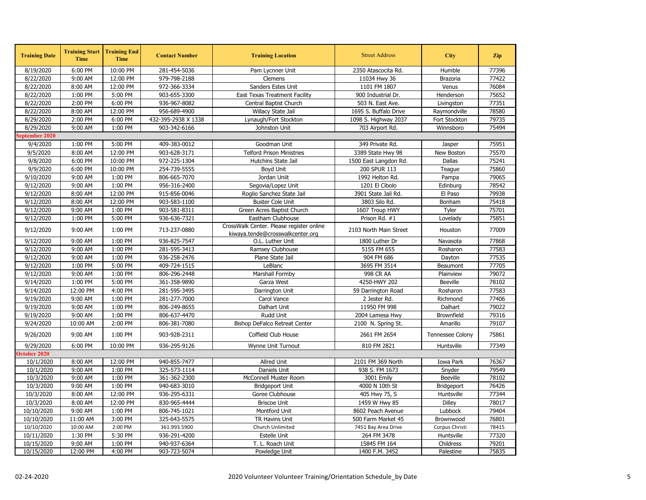| 10:00 PM<br>6:00 PM<br>281-454-5036<br>2350 Atascocita Rd.<br>Humble<br>8/19/2020<br>Pam Lycnner Unit<br>8/22/2020<br>9:00 AM<br>12:00 PM<br>979-798-2188<br>Clemens<br>11034 Hwy 36<br>Brazoria<br>8:00 AM<br>12:00 PM<br>972-366-3334<br>8/22/2020<br>Sanders Estes Unit<br>1101 FM 1807<br>Venus<br>1:00 PM<br>5:00 PM<br>903-655-3300<br>900 Industrial Dr.<br>8/22/2020<br><b>East Texas Treatment Facility</b><br>Henderson<br>8/22/2020<br>2:00 PM<br>6:00 PM<br>936-967-8082<br>503 N. East Ave.<br>Central Baptist Church<br>Livingston<br>956-689-4900<br>8/22/2020<br>8:00 AM<br>12:00 PM<br>Willacy State Jail<br>1695 S. Buffalo Drive<br>Raymondville<br>8/29/2020<br>2:00 PM<br>6:00 PM<br>432-395-2938 X 1338<br>Lynaugh/Fort Stockton<br>Fort Stockton<br>1098 S. Highway 2037<br>9:00 AM<br>1:00 PM<br>903-342-6166<br>703 Airport Rd.<br>8/29/2020<br>Johnston Unit<br>Winnsboro<br>September 2020 | 77396<br>77422<br>76084<br>75652<br>77351<br>78580<br>79735<br>75494<br>75951<br>75570<br>75241<br>75860<br>79065<br>78542<br>79938 |
|-----------------------------------------------------------------------------------------------------------------------------------------------------------------------------------------------------------------------------------------------------------------------------------------------------------------------------------------------------------------------------------------------------------------------------------------------------------------------------------------------------------------------------------------------------------------------------------------------------------------------------------------------------------------------------------------------------------------------------------------------------------------------------------------------------------------------------------------------------------------------------------------------------------------------|-------------------------------------------------------------------------------------------------------------------------------------|
|                                                                                                                                                                                                                                                                                                                                                                                                                                                                                                                                                                                                                                                                                                                                                                                                                                                                                                                       |                                                                                                                                     |
|                                                                                                                                                                                                                                                                                                                                                                                                                                                                                                                                                                                                                                                                                                                                                                                                                                                                                                                       |                                                                                                                                     |
|                                                                                                                                                                                                                                                                                                                                                                                                                                                                                                                                                                                                                                                                                                                                                                                                                                                                                                                       |                                                                                                                                     |
|                                                                                                                                                                                                                                                                                                                                                                                                                                                                                                                                                                                                                                                                                                                                                                                                                                                                                                                       |                                                                                                                                     |
|                                                                                                                                                                                                                                                                                                                                                                                                                                                                                                                                                                                                                                                                                                                                                                                                                                                                                                                       |                                                                                                                                     |
|                                                                                                                                                                                                                                                                                                                                                                                                                                                                                                                                                                                                                                                                                                                                                                                                                                                                                                                       |                                                                                                                                     |
|                                                                                                                                                                                                                                                                                                                                                                                                                                                                                                                                                                                                                                                                                                                                                                                                                                                                                                                       |                                                                                                                                     |
|                                                                                                                                                                                                                                                                                                                                                                                                                                                                                                                                                                                                                                                                                                                                                                                                                                                                                                                       |                                                                                                                                     |
|                                                                                                                                                                                                                                                                                                                                                                                                                                                                                                                                                                                                                                                                                                                                                                                                                                                                                                                       |                                                                                                                                     |
| 1:00 PM<br>5:00 PM<br>409-383-0012<br>Goodman Unit<br>349 Private Rd.<br>9/4/2020<br>Jasper                                                                                                                                                                                                                                                                                                                                                                                                                                                                                                                                                                                                                                                                                                                                                                                                                           |                                                                                                                                     |
| 8:00 AM<br>12:00 PM<br>903-628-3171<br><b>Telford Prison Ministries</b><br>9/5/2020<br>3389 State Hwy 98<br>New Boston                                                                                                                                                                                                                                                                                                                                                                                                                                                                                                                                                                                                                                                                                                                                                                                                |                                                                                                                                     |
| 6:00 PM<br>10:00 PM<br>972-225-1304<br>9/8/2020<br>Hutchins State Jail<br>1500 East Langdon Rd.<br>Dallas                                                                                                                                                                                                                                                                                                                                                                                                                                                                                                                                                                                                                                                                                                                                                                                                             |                                                                                                                                     |
| 6:00 PM<br>10:00 PM<br>9/9/2020<br>254-739-5555<br>200 SPUR 113<br>Boyd Unit<br>Teague                                                                                                                                                                                                                                                                                                                                                                                                                                                                                                                                                                                                                                                                                                                                                                                                                                |                                                                                                                                     |
| 9:00 AM<br>1:00 PM<br>9/10/2020<br>806-665-7070<br>Jordan Uniit<br>1992 Helton Rd.<br>Pampa                                                                                                                                                                                                                                                                                                                                                                                                                                                                                                                                                                                                                                                                                                                                                                                                                           |                                                                                                                                     |
| 9:00 AM<br>1:00 PM<br>956-316-2400<br>1201 El Cibolo<br>9/12/2020<br>Segovia/Lopez Unit<br>Edinburg                                                                                                                                                                                                                                                                                                                                                                                                                                                                                                                                                                                                                                                                                                                                                                                                                   |                                                                                                                                     |
| 9/12/2020<br>8:00 AM<br>12:00 PM<br>915-856-0046<br>3901 State Jail Rd.<br>Roglio Sanchez State Jail<br>El Paso                                                                                                                                                                                                                                                                                                                                                                                                                                                                                                                                                                                                                                                                                                                                                                                                       |                                                                                                                                     |
| 9/12/2020<br>8:00 AM<br>12:00 PM<br>903-583-1100<br>3803 Silo Rd.<br><b>Buster Cole Unit</b><br>Bonham                                                                                                                                                                                                                                                                                                                                                                                                                                                                                                                                                                                                                                                                                                                                                                                                                | 75418                                                                                                                               |
| 9/12/2020<br>9:00 AM<br>1:00 PM<br>903-581-8311<br>1607 Troup HWY<br>Tyler<br>Green Acres Baptist Church                                                                                                                                                                                                                                                                                                                                                                                                                                                                                                                                                                                                                                                                                                                                                                                                              | 75701                                                                                                                               |
| 5:00 PM<br>9/12/2020<br>1:00 PM<br>936-636-7321<br>Eastham Clubhouse<br>Prison Rd. #1<br>Lovelady                                                                                                                                                                                                                                                                                                                                                                                                                                                                                                                                                                                                                                                                                                                                                                                                                     | 75851                                                                                                                               |
| CrossWalk Center. Please register online<br>9/12/2020<br>9:00 AM<br>1:00 PM<br>713-237-0880<br>2103 North Main Street<br>Houston<br>kiwaya.tende@crosswalkcenter.org                                                                                                                                                                                                                                                                                                                                                                                                                                                                                                                                                                                                                                                                                                                                                  | 77009                                                                                                                               |
| 9:00 AM<br>1:00 PM<br>936-825-7547<br>9/12/2020<br>1800 Luther Dr<br>Navasota<br>O.L. Luther Unit                                                                                                                                                                                                                                                                                                                                                                                                                                                                                                                                                                                                                                                                                                                                                                                                                     | 77868                                                                                                                               |
| 9:00 AM<br>1:00 PM<br>281-595-3413<br>5155 FM 655<br>9/12/2020<br>Ramsey Clubhouse<br>Rosharon                                                                                                                                                                                                                                                                                                                                                                                                                                                                                                                                                                                                                                                                                                                                                                                                                        | 77583                                                                                                                               |
| 9:00 AM<br>1:00 PM<br>936-258-2476<br>904 FM 686<br>9/12/2020<br>Plane State Jail<br>Dayton                                                                                                                                                                                                                                                                                                                                                                                                                                                                                                                                                                                                                                                                                                                                                                                                                           | 77535                                                                                                                               |
| 5:00 PM<br>409-724-1515<br>LeBlanc<br>9/12/2020<br>1:00 PM<br>3695 FM 3514<br>Beaumont                                                                                                                                                                                                                                                                                                                                                                                                                                                                                                                                                                                                                                                                                                                                                                                                                                | 77705                                                                                                                               |
| 9/12/2020<br>9:00 AM<br>1:00 PM<br>806-296-2448<br>Marshall Formby<br>998 CR AA<br>Plainview                                                                                                                                                                                                                                                                                                                                                                                                                                                                                                                                                                                                                                                                                                                                                                                                                          | 79072                                                                                                                               |
| 1:00 PM<br>5:00 PM<br>361-358-9890<br>4250-HWY 202<br>9/14/2020<br>Garza West<br><b>Beeville</b>                                                                                                                                                                                                                                                                                                                                                                                                                                                                                                                                                                                                                                                                                                                                                                                                                      | 78102                                                                                                                               |
| 4:00 PM<br>9/14/2020<br>12:00 PM<br>281-595-3495<br>Rosharon<br>Darrington Unit<br>59 Darrington Road                                                                                                                                                                                                                                                                                                                                                                                                                                                                                                                                                                                                                                                                                                                                                                                                                 | 77583                                                                                                                               |
| 9:00 AM<br>1:00 PM<br>281-277-7000<br>Carol Vance<br>2 Jester Rd.<br>9/19/2020<br>Richmond                                                                                                                                                                                                                                                                                                                                                                                                                                                                                                                                                                                                                                                                                                                                                                                                                            | 77406                                                                                                                               |
| 9:00 AM<br>1:00 PM<br>Dalhart Unit<br>11950 FM 998<br>9/19/2020<br>806-249-8655<br>Dalhart                                                                                                                                                                                                                                                                                                                                                                                                                                                                                                                                                                                                                                                                                                                                                                                                                            | 79022                                                                                                                               |
| 9:00 AM<br>1:00 PM<br>806-637-4470<br>Rudd Unit<br>9/19/2020<br>2004 Lamesa Hwy<br>Brownfield                                                                                                                                                                                                                                                                                                                                                                                                                                                                                                                                                                                                                                                                                                                                                                                                                         | 79316                                                                                                                               |
| 10:00 AM<br>2:00 PM<br>806-381-7080<br>Bishop DeFalco Retreat Center<br>2100 N. Spring St.<br>Amarillo<br>9/24/2020                                                                                                                                                                                                                                                                                                                                                                                                                                                                                                                                                                                                                                                                                                                                                                                                   | 79107                                                                                                                               |
| 9/26/2020<br>9:00 AM<br>1:00 PM<br>903-928-2311<br>Coffield Club House<br>2661 FM 2654<br>Tennessee Colony                                                                                                                                                                                                                                                                                                                                                                                                                                                                                                                                                                                                                                                                                                                                                                                                            | 75861                                                                                                                               |
| 9/29/2020<br>6:00 PM<br>10:00 PM<br>936-295-9126<br>810 FM 2821<br>Huntsville<br>Wynne Unit Turnout                                                                                                                                                                                                                                                                                                                                                                                                                                                                                                                                                                                                                                                                                                                                                                                                                   | 77349                                                                                                                               |
| October 2020                                                                                                                                                                                                                                                                                                                                                                                                                                                                                                                                                                                                                                                                                                                                                                                                                                                                                                          |                                                                                                                                     |
| 10/1/2020<br>8:00 AM<br>12:00 PM<br>940-855-7477<br>Allred Unit<br>2101 FM 369 North<br>Iowa Park                                                                                                                                                                                                                                                                                                                                                                                                                                                                                                                                                                                                                                                                                                                                                                                                                     | 76367                                                                                                                               |
| Daniels Unit<br>9:00 AM<br>1:00 PM<br>325-573-1114<br>938 S. FM 1673<br>10/1/2020<br>Snyder                                                                                                                                                                                                                                                                                                                                                                                                                                                                                                                                                                                                                                                                                                                                                                                                                           | 79549                                                                                                                               |
| 1:00 PM<br>361-362-2300<br>McConnell Muster Room<br>3001 Emily<br>10/3/2020<br>9:00 AM<br><b>Beeville</b>                                                                                                                                                                                                                                                                                                                                                                                                                                                                                                                                                                                                                                                                                                                                                                                                             | 78102                                                                                                                               |
| 1:00 PM<br>940-683-3010<br>4000 N 10th St<br>10/3/2020<br>9:00 AM<br>Bridgeport Unit<br><b>Bridgeport</b>                                                                                                                                                                                                                                                                                                                                                                                                                                                                                                                                                                                                                                                                                                                                                                                                             | 76426                                                                                                                               |
| 10/3/2020<br>8:00 AM<br>12:00 PM<br>936-295-6331<br>Goree Clubhouse<br>405 Hwy 75, S<br>Huntsville                                                                                                                                                                                                                                                                                                                                                                                                                                                                                                                                                                                                                                                                                                                                                                                                                    | 77344                                                                                                                               |
| 12:00 PM<br>8:00 AM<br>830-965-4444<br><b>Briscoe Unit</b><br>1459 W Hwy 85<br><b>Dilley</b><br>10/3/2020                                                                                                                                                                                                                                                                                                                                                                                                                                                                                                                                                                                                                                                                                                                                                                                                             | 78017                                                                                                                               |
| 9:00 AM<br>1:00 PM<br>Montford Unit<br>10/10/2020<br>806-745-1021<br>8602 Peach Avenue<br>Lubbock                                                                                                                                                                                                                                                                                                                                                                                                                                                                                                                                                                                                                                                                                                                                                                                                                     | 79404                                                                                                                               |
| 500 Farm Market 45<br>10/10/2020<br>11:00 AM<br>3:00 PM<br>325-643-5575<br>TR Havins Unit<br>Brownwood                                                                                                                                                                                                                                                                                                                                                                                                                                                                                                                                                                                                                                                                                                                                                                                                                | 76801                                                                                                                               |
| 10/10/2020<br>10:00 AM<br>2:00 PM<br>361.993.5900<br>Church Unlimited<br>7451 Bay Area Drive<br>Corpus Christi                                                                                                                                                                                                                                                                                                                                                                                                                                                                                                                                                                                                                                                                                                                                                                                                        | 78415                                                                                                                               |
| 10/11/2020<br>1:30 PM<br>5:30 PM<br>936-291-4200<br>Estelle Unit<br>264 FM 3478<br>Huntsville                                                                                                                                                                                                                                                                                                                                                                                                                                                                                                                                                                                                                                                                                                                                                                                                                         | 77320                                                                                                                               |
| 10/15/2020<br>9:00 AM<br>1:00 PM<br>940-937-6364<br>T. L. Roach Unit<br>15845 FM 164<br>Childress                                                                                                                                                                                                                                                                                                                                                                                                                                                                                                                                                                                                                                                                                                                                                                                                                     | 79201                                                                                                                               |
| 10/15/2020<br>12:00 PM<br>4:00 PM<br>903-723-5074<br>1400 F.M. 3452<br>Powledge Unit<br>Palestine                                                                                                                                                                                                                                                                                                                                                                                                                                                                                                                                                                                                                                                                                                                                                                                                                     | 75835                                                                                                                               |